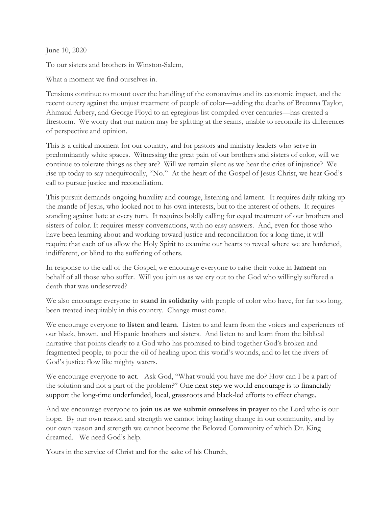June 10, 2020

To our sisters and brothers in Winston-Salem,

What a moment we find ourselves in.

Tensions continue to mount over the handling of the coronavirus and its economic impact, and the recent outcry against the unjust treatment of people of color—adding the deaths of Breonna Taylor, Ahmaud Arbery, and George Floyd to an egregious list compiled over centuries—has created a firestorm. We worry that our nation may be splitting at the seams, unable to reconcile its differences of perspective and opinion.

This is a critical moment for our country, and for pastors and ministry leaders who serve in predominantly white spaces. Witnessing the great pain of our brothers and sisters of color, will we continue to tolerate things as they are? Will we remain silent as we hear the cries of injustice? We rise up today to say unequivocally, "No." At the heart of the Gospel of Jesus Christ, we hear God's call to pursue justice and reconciliation.

This pursuit demands ongoing humility and courage, listening and lament. It requires daily taking up the mantle of Jesus, who looked not to his own interests, but to the interest of others. It requires standing against hate at every turn. It requires boldly calling for equal treatment of our brothers and sisters of color. It requires messy conversations, with no easy answers. And, even for those who have been learning about and working toward justice and reconciliation for a long time, it will require that each of us allow the Holy Spirit to examine our hearts to reveal where we are hardened, indifferent, or blind to the suffering of others.

In response to the call of the Gospel, we encourage everyone to raise their voice in lament on behalf of all those who suffer. Will you join us as we cry out to the God who willingly suffered a death that was undeserved?

We also encourage everyone to **stand in solidarity** with people of color who have, for far too long, been treated inequitably in this country. Change must come.

We encourage everyone to listen and learn. Listen to and learn from the voices and experiences of our black, brown, and Hispanic brothers and sisters. And listen to and learn from the biblical narrative that points clearly to a God who has promised to bind together God's broken and fragmented people, to pour the oil of healing upon this world's wounds, and to let the rivers of God's justice flow like mighty waters.

We encourage everyone to act. Ask God, "What would you have me do? How can I be a part of the solution and not a part of the problem?" One next step we would encourage is to financially support the long-time underfunded, local, grassroots and black-led efforts to effect change.

And we encourage everyone to **join us as we submit ourselves in prayer** to the Lord who is our hope. By our own reason and strength we cannot bring lasting change in our community, and by our own reason and strength we cannot become the Beloved Community of which Dr. King dreamed. We need God's help.

Yours in the service of Christ and for the sake of his Church,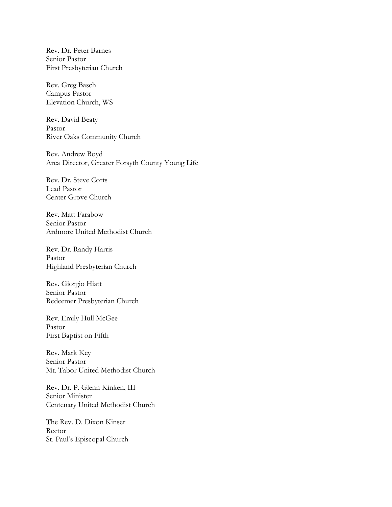Rev. Dr. Peter Barnes Senior Pastor First Presbyterian Church

Rev. Greg Basch Campus Pastor Elevation Church, WS

Rev. David Beaty Pastor River Oaks Community Church

Rev. Andrew Boyd Area Director, Greater Forsyth County Young Life

Rev. Dr. Steve Corts Lead Pastor Center Grove Church

Rev. Matt Farabow Senior Pastor Ardmore United Methodist Church

Rev. Dr. Randy Harris Pastor Highland Presbyterian Church

Rev. Giorgio Hiatt Senior Pastor Redeemer Presbyterian Church

Rev. Emily Hull McGee Pastor First Baptist on Fifth

Rev. Mark Key Senior Pastor Mt. Tabor United Methodist Church

Rev. Dr. P. Glenn Kinken, III Senior Minister Centenary United Methodist Church

The Rev. D. Dixon Kinser Rector St. Paul's Episcopal Church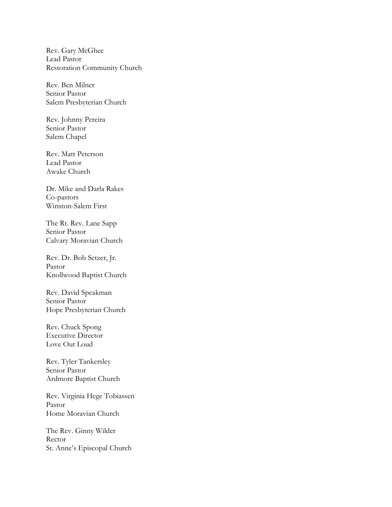Rev. Gary McGhee Lead Pastor Restoration Community Church

Rev. Ben Milner Senior Pastor Salem Presbyterian Church

Rev. Johnny Pereira Senior Pastor Salem Chapel

Rev. Matt Peterson Lead Pastor Awake Church

Dr. Mike and Darla Rakes Co-pastors Winston-Salem First

The Rt. Rev. Lane Sapp Senior Pastor Calvary Moravian Church

Rev. Dr. Bob Setzer, Jr. Pastor Knollwood Baptist Church

Rev. David Speakman Senior Pastor Hope Presbyterian Church

Rev. Chuck Spong Executive Director Love Out Loud

Rev. Tyler Tankersley Senior Pastor Ardmore Baptist Church

Rev. Virginia Hege Tobiassen Pastor Home Moravian Church

The Rev. Ginny Wilder Rector St. Anne's Episcopal Church